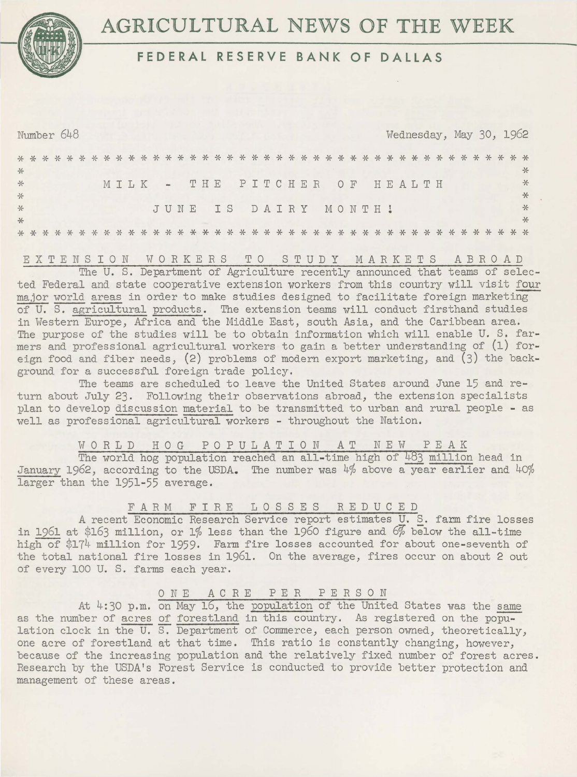

# **AGRICULTURAL NEWS OF THE WEEK**

# **FEDERAL RESERVE BANK OF DALLAS**

Number 648 Wednesday, May 30, 1962 \* \* \* \* \* \* \* \* \* \* \* \* \* \* \* \* \* \* \* \* \* \* \* \* \* \* \* \* \* \* \* \* \* \* \* \* \* \* \* \* \* \* \* \* \* \* \* \* \* \* \* \* \* \* \* \* \* \* \* \* \* \* \* \* \* \* \* \* \* \* \* \* \* \* \* \* \* \* \* \* \* \* \* \* \* \* \* \* \* MILK THE JUNE IS DAIRY MONTH! PITCHER OF HEALTH \* \* \*

EXTENSION WORKERS TO STUDY MARKETS ABROAD The U. S. Department of Agriculture recently announced that teams of selected Federal and state cooperative extension workers from this country will visit four major world areas in order to make studies designed to facilitate foreign marketing of U. S. agricultural products. The extension teams will conduct firsthand studies in Western Europe, Africa and the Middle East, south Asia, and the Caribbean area. The purpose of the studies will be to obtain information which will enable U. S. farmers and professional agricultural workers to gain a better understanding of (1) foreign food and fiber needs, (2) problems of modern export marketing, and (3) the background for a successful foreign trade policy.

The teams are scheduled to leave the United States around June 15 and return about July 23. Following their observations abroad, the extension specialists plan to develop discussion material to be transmitted to urban and rural people - as well as professional agricultural workers - throughout the Nation.

WORLD HOG POPULATION AT NEW PEAK The world hog population reached an all-time high of 483 million head in January 1962, according to the USDA. The number was 4% above a year earlier and 40% larger than the 1951-55 average.

### FARM FIRE LOSSES REDUCED

A recent Economic Research Service report estimates U. S. farm fire losses in 1961 at \$163 million, or 1% less than the 1960 figure and 6% below the all-time high of \$174 million for 1959. Farm fire losses accounted for about one-seventh of the total national fire losses in 1961. On the average, fires occur on about 2 out of every 100 U. S. farms each year.

## ONE ACRE PER PERSON

At 4:30 p.m. on May 16, the population of the United States was the same as the number of acres of forestland in this country. As registered on the population clock in the U. S. Department of Commerce, each person owned, theoretically, one acre of forestland at that time. This ratio is constantly changing, however, because of the increasing population and the relatively fixed number of forest acres. Research by the USDA's Forest Service is conducted to provide better protection and management of these areas.